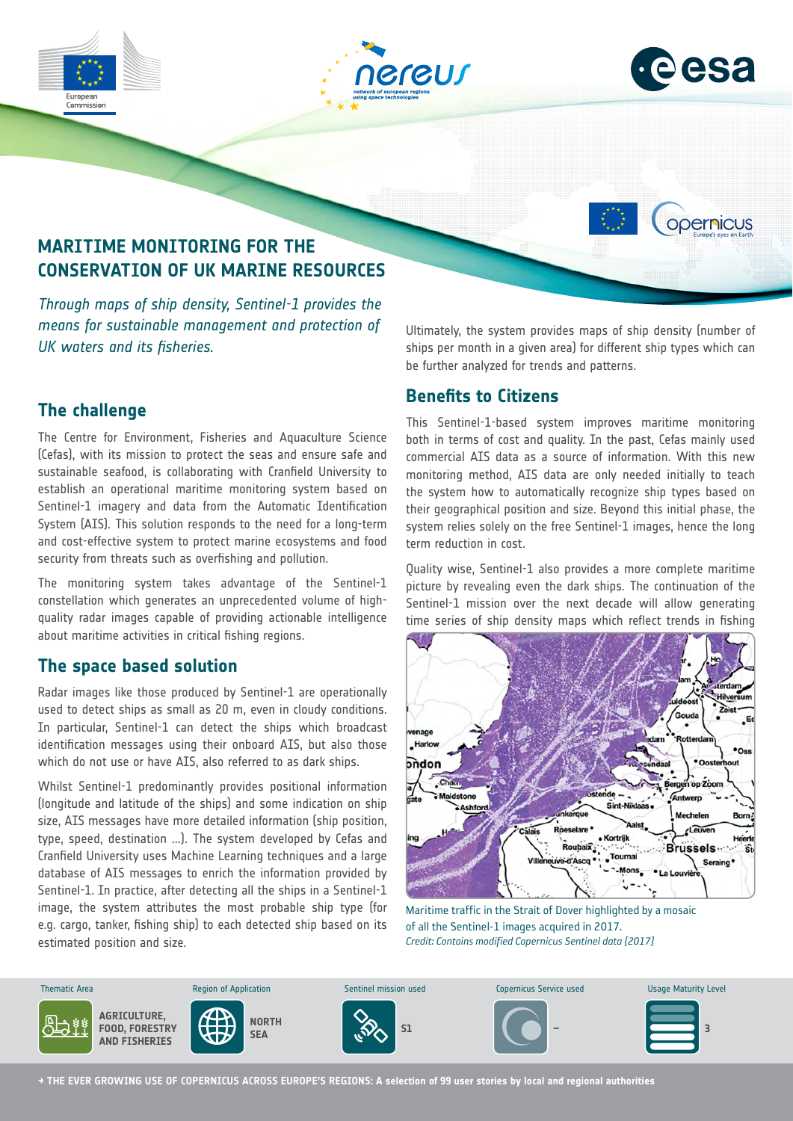







# **MARITIME MONITORING FOR THE CONSERVATION OF UK MARINE RESOURCES**

*Through maps of ship density, Sentinel-1 provides the means for sustainable management and protection of UK waters and its fisheries.*

# **The challenge**

The Centre for Environment, Fisheries and Aquaculture Science (Cefas), with its mission to protect the seas and ensure safe and sustainable seafood, is collaborating with Cranfield University to establish an operational maritime monitoring system based on Sentinel-1 imagery and data from the Automatic Identification System (AIS). This solution responds to the need for a long-term and cost-effective system to protect marine ecosystems and food security from threats such as overfishing and pollution.

The monitoring system takes advantage of the Sentinel-1 constellation which generates an unprecedented volume of highquality radar images capable of providing actionable intelligence about maritime activities in critical fishing regions.

### **The space based solution**

Radar images like those produced by Sentinel-1 are operationally used to detect ships as small as 20 m, even in cloudy conditions. In particular, Sentinel-1 can detect the ships which broadcast identification messages using their onboard AIS, but also those which do not use or have AIS, also referred to as dark ships.

Whilst Sentinel-1 predominantly provides positional information (longitude and latitude of the ships) and some indication on ship size, AIS messages have more detailed information (ship position, type, speed, destination ...). The system developed by Cefas and Cranfield University uses Machine Learning techniques and a large database of AIS messages to enrich the information provided by Sentinel-1. In practice, after detecting all the ships in a Sentinel-1 image, the system attributes the most probable ship type (for e.g. cargo, tanker, fishing ship) to each detected ship based on its estimated position and size.

Ultimately, the system provides maps of ship density (number of ships per month in a given area) for different ship types which can be further analyzed for trends and patterns.

#### **Benefits to Citizens**

This Sentinel-1-based system improves maritime monitoring both in terms of cost and quality. In the past, Cefas mainly used commercial AIS data as a source of information. With this new monitoring method, AIS data are only needed initially to teach the system how to automatically recognize ship types based on their geographical position and size. Beyond this initial phase, the system relies solely on the free Sentinel-1 images, hence the long term reduction in cost.

Quality wise, Sentinel-1 also provides a more complete maritime picture by revealing even the dark ships. The continuation of the Sentinel-1 mission over the next decade will allow generating time series of ship density maps which reflect trends in fishing



Maritime traffic in the Strait of Dover highlighted by a mosaic of all the Sentinel-1 images acquired in 2017. *Credit: Contains modified Copernicus Sentinel data [2017]*



**→ THE EVER GROWING USE OF COPERNICUS ACROSS EUROPE'S REGIONS: A selection of 99 user stories by local and regional authorities**